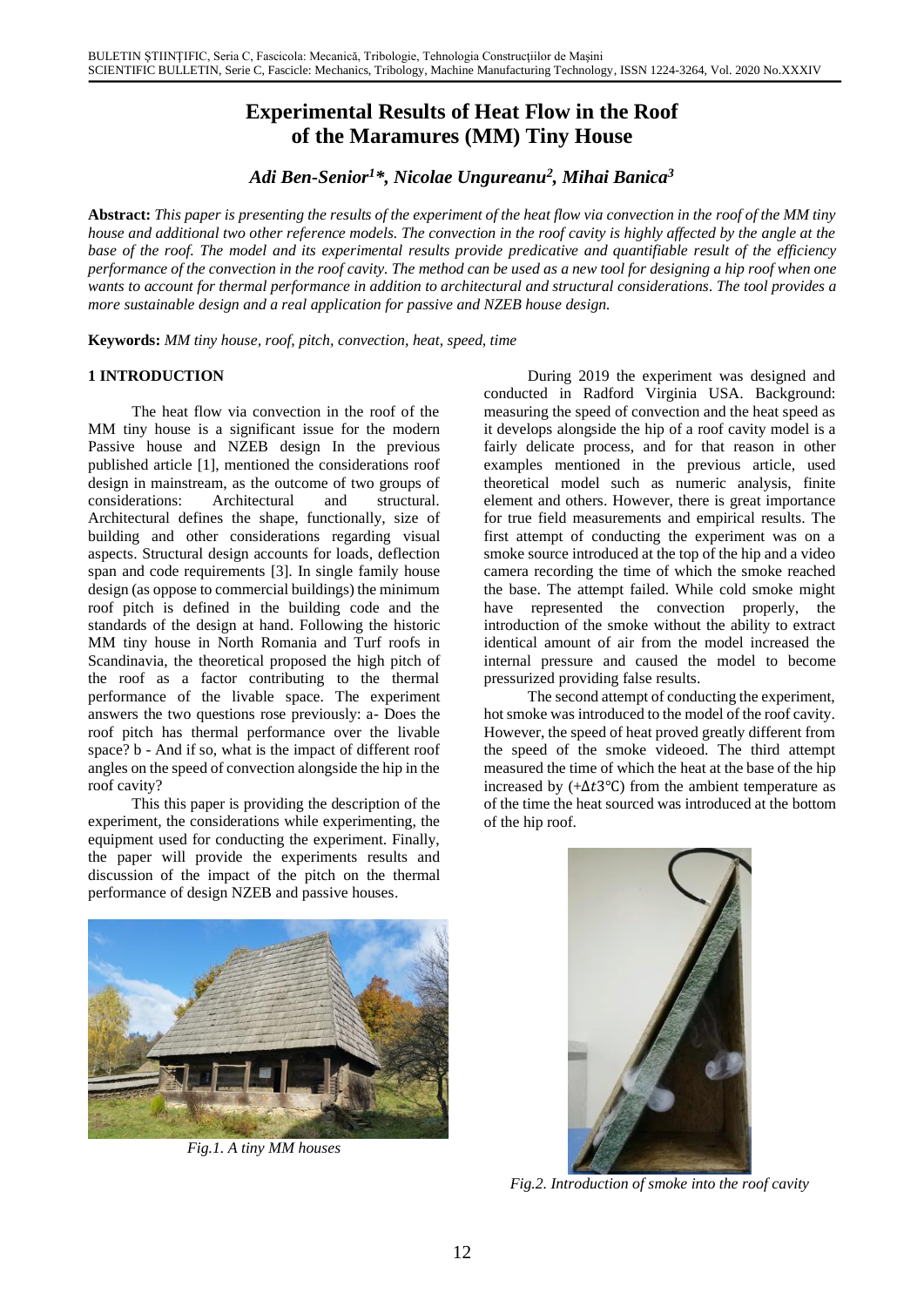# **Experimental Results of Heat Flow in the Roof of the Maramures (MM) Tiny House**

*Adi Ben-Senior<sup>1</sup>\*, Nicolae Ungureanu<sup>2</sup> , Mihai Banica<sup>3</sup>*

**Abstract:** *This paper is presenting the results of the experiment of the heat flow via convection in the roof of the MM tiny house and additional two other reference models. The convection in the roof cavity is highly affected by the angle at the base of the roof. The model and its experimental results provide predicative and quantifiable result of the efficiency performance of the convection in the roof cavity. The method can be used as a new tool for designing a hip roof when one wants to account for thermal performance in addition to architectural and structural considerations. The tool provides a more sustainable design and a real application for passive and NZEB house design.*

**Keywords:** *MM tiny house, roof, pitch, convection, heat, speed, time*

# **1 INTRODUCTION**

The heat flow via convection in the roof of the MM tiny house is a significant issue for the modern Passive house and NZEB design In the previous published article [1], mentioned the considerations roof design in mainstream, as the outcome of two groups of considerations: Architectural and structural. Architectural defines the shape, functionally, size of building and other considerations regarding visual aspects. Structural design accounts for loads, deflection span and code requirements [3]. In single family house design (as oppose to commercial buildings) the minimum roof pitch is defined in the building code and the standards of the design at hand. Following the historic MM tiny house in North Romania and Turf roofs in Scandinavia, the theoretical proposed the high pitch of the roof as a factor contributing to the thermal performance of the livable space. The experiment answers the two questions rose previously: a- Does the roof pitch has thermal performance over the livable space? b - And if so, what is the impact of different roof angles on the speed of convection alongside the hip in the roof cavity?

This this paper is providing the description of the experiment, the considerations while experimenting, the equipment used for conducting the experiment. Finally, the paper will provide the experiments results and discussion of the impact of the pitch on the thermal performance of design NZEB and passive houses.

During 2019 the experiment was designed and conducted in Radford Virginia USA. Background: measuring the speed of convection and the heat speed as it develops alongside the hip of a roof cavity model is a fairly delicate process, and for that reason in other examples mentioned in the previous article, used theoretical model such as numeric analysis, finite element and others. However, there is great importance for true field measurements and empirical results. The first attempt of conducting the experiment was on a smoke source introduced at the top of the hip and a video camera recording the time of which the smoke reached the base. The attempt failed. While cold smoke might have represented the convection properly, the introduction of the smoke without the ability to extract identical amount of air from the model increased the internal pressure and caused the model to become pressurized providing false results.

The second attempt of conducting the experiment, hot smoke was introduced to the model of the roof cavity. However, the speed of heat proved greatly different from the speed of the smoke videoed. The third attempt measured the time of which the heat at the base of the hip increased by  $(+\Delta t3^{\circ}C)$  from the ambient temperature as of the time the heat sourced was introduced at the bottom of the hip roof.



*Fig.1. A tiny MM houses*



*Fig.2. Introduction of smoke into the roof cavity*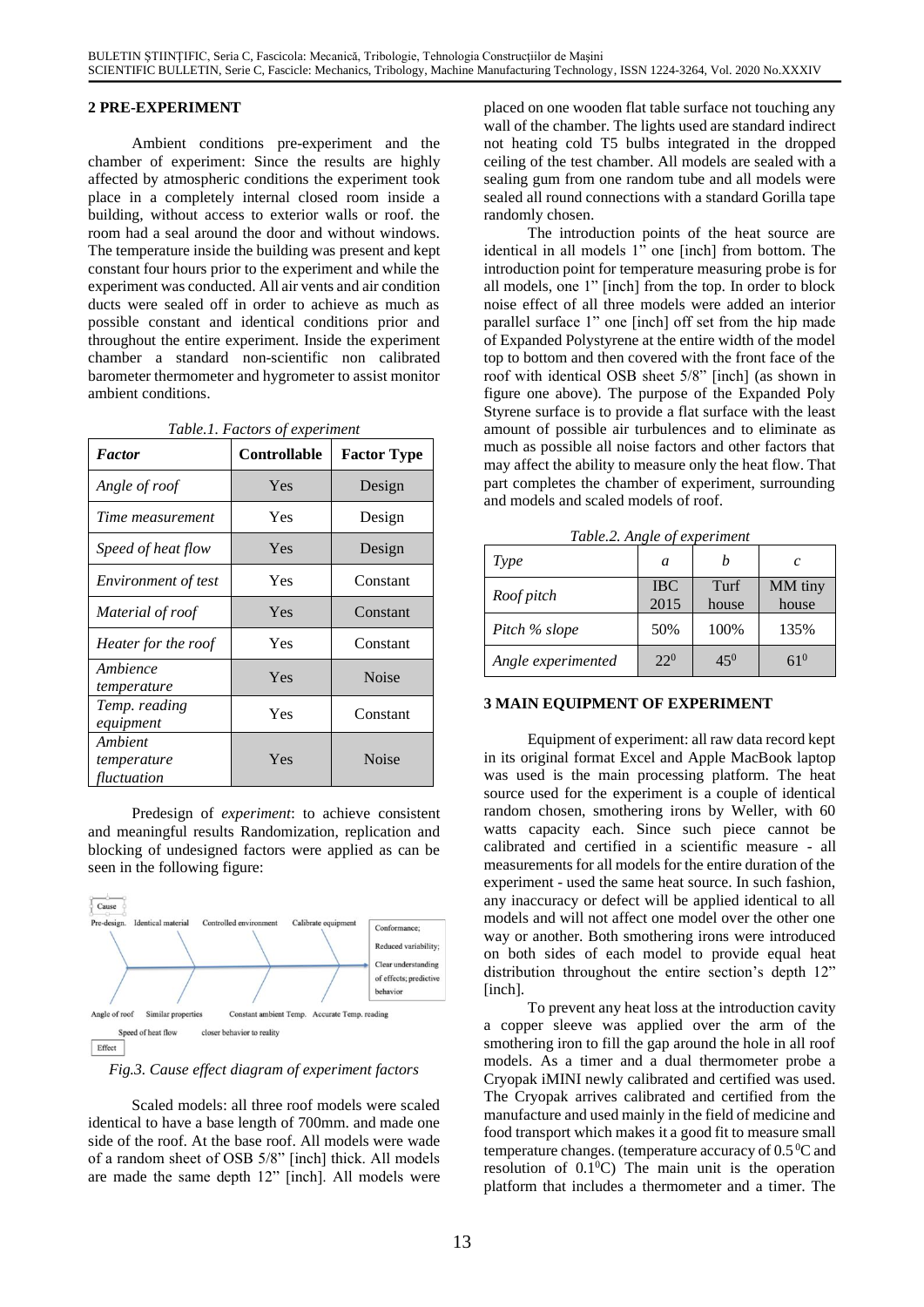### **2 PRE-EXPERIMENT**

Ambient conditions pre-experiment and the chamber of experiment: Since the results are highly affected by atmospheric conditions the experiment took place in a completely internal closed room inside a building, without access to exterior walls or roof. the room had a seal around the door and without windows. The temperature inside the building was present and kept constant four hours prior to the experiment and while the experiment was conducted. All air vents and air condition ducts were sealed off in order to achieve as much as possible constant and identical conditions prior and throughout the entire experiment. Inside the experiment chamber a standard non-scientific non calibrated barometer thermometer and hygrometer to assist monitor ambient conditions.

| <b>Factor</b>                         | Controllable | <b>Factor Type</b> |  |
|---------------------------------------|--------------|--------------------|--|
| Angle of roof                         | Yes          | Design             |  |
| Time measurement                      | Yes          | Design             |  |
| Speed of heat flow                    | Yes          | Design             |  |
| <i>Environment of test</i>            | Yes          | Constant           |  |
| Material of roof                      | Yes          | Constant           |  |
| Heater for the roof                   | Yes          | Constant           |  |
| Ambience<br>temperature               | Yes          | <b>Noise</b>       |  |
| Temp. reading<br>equipment            | Yes          | Constant           |  |
| Ambient<br>temperature<br>fluctuation | Yes          | <b>Noise</b>       |  |

*Table.1. Factors of experiment*

Predesign of *experiment*: to achieve consistent and meaningful results Randomization, replication and blocking of undesigned factors were applied as can be seen in the following figure:



*Fig.3. Cause effect diagram of experiment factors*

Scaled models: all three roof models were scaled identical to have a base length of 700mm. and made one side of the roof. At the base roof. All models were wade of a random sheet of OSB 5/8" [inch] thick. All models are made the same depth 12" [inch]. All models were placed on one wooden flat table surface not touching any wall of the chamber. The lights used are standard indirect not heating cold T5 bulbs integrated in the dropped ceiling of the test chamber. All models are sealed with a sealing gum from one random tube and all models were sealed all round connections with a standard Gorilla tape randomly chosen.

The introduction points of the heat source are identical in all models 1" one [inch] from bottom. The introduction point for temperature measuring probe is for all models, one 1" [inch] from the top. In order to block noise effect of all three models were added an interior parallel surface 1" one [inch] off set from the hip made of Expanded Polystyrene at the entire width of the model top to bottom and then covered with the front face of the roof with identical OSB sheet 5/8" [inch] (as shown in figure one above). The purpose of the Expanded Poly Styrene surface is to provide a flat surface with the least amount of possible air turbulences and to eliminate as much as possible all noise factors and other factors that may affect the ability to measure only the heat flow. That part completes the chamber of experiment, surrounding and models and scaled models of roof.

*Table.2. Angle of experiment*

| Type               | a                  |               | $\mathcal{C}$    |
|--------------------|--------------------|---------------|------------------|
| Roof pitch         | <b>IBC</b><br>2015 | Turf<br>house | MM tiny<br>house |
| Pitch % slope      | 50%                | 100%          | 135%             |
| Angle experimented | $22^{0}$           | $45^{0}$      | 61 $^{\rm 0}$    |

## **3 MAIN EQUIPMENT OF EXPERIMENT**

Equipment of experiment: all raw data record kept in its original format Excel and Apple MacBook laptop was used is the main processing platform. The heat source used for the experiment is a couple of identical random chosen, smothering irons by Weller, with 60 watts capacity each. Since such piece cannot be calibrated and certified in a scientific measure - all measurements for all models for the entire duration of the experiment - used the same heat source. In such fashion, any inaccuracy or defect will be applied identical to all models and will not affect one model over the other one way or another. Both smothering irons were introduced on both sides of each model to provide equal heat distribution throughout the entire section's depth 12" [inch].

To prevent any heat loss at the introduction cavity a copper sleeve was applied over the arm of the smothering iron to fill the gap around the hole in all roof models. As a timer and a dual thermometer probe a Cryopak iMINI newly calibrated and certified was used. The Cryopak arrives calibrated and certified from the manufacture and used mainly in the field of medicine and food transport which makes it a good fit to measure small temperature changes. (temperature accuracy of  $0.5\,^0C$  and resolution of  $0.1^{\circ}$ C) The main unit is the operation platform that includes a thermometer and a timer. The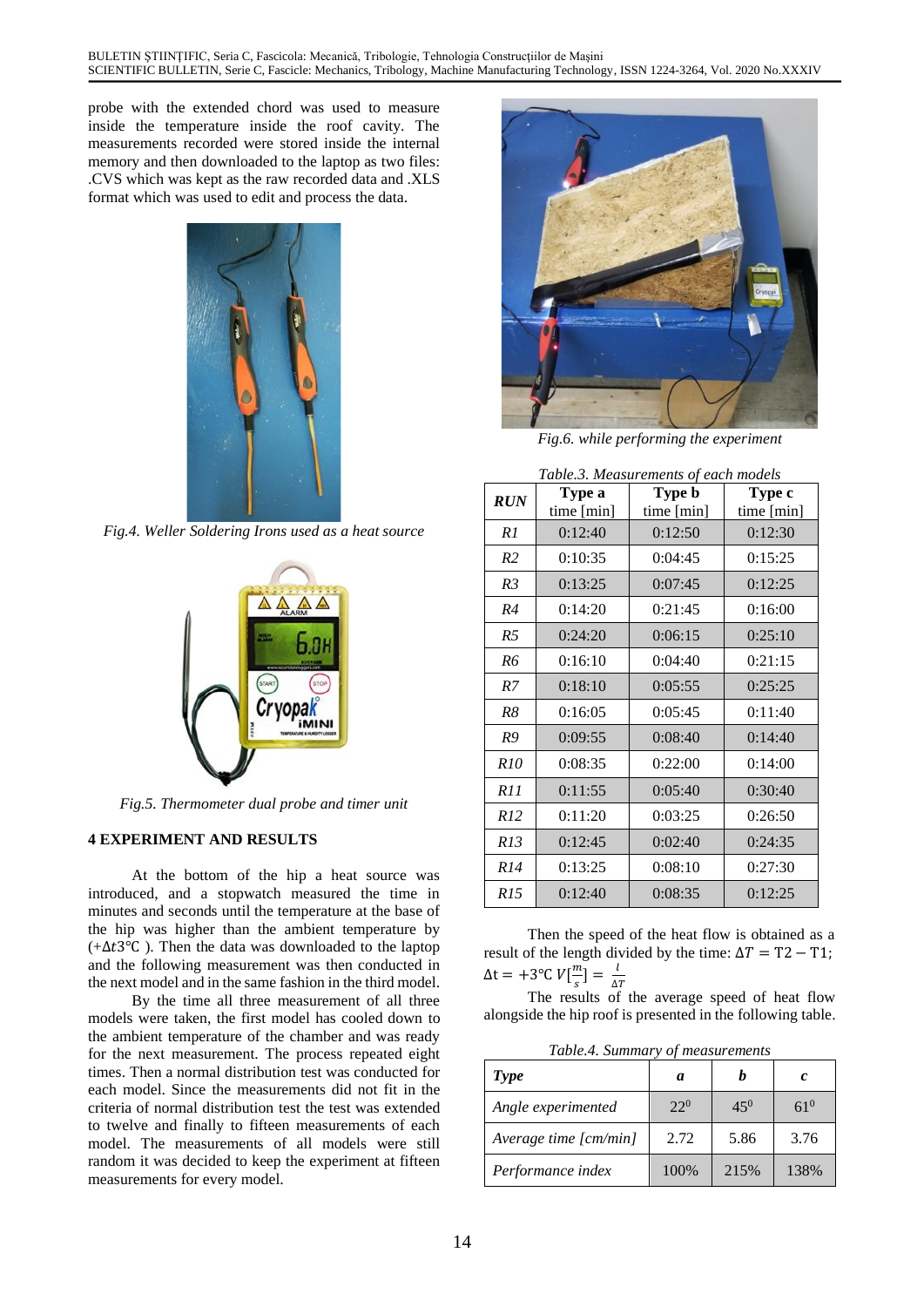probe with the extended chord was used to measure inside the temperature inside the roof cavity. The measurements recorded were stored inside the internal memory and then downloaded to the laptop as two files: .CVS which was kept as the raw recorded data and .XLS format which was used to edit and process the data.



*Fig.4. Weller Soldering Irons used as a heat source*



*Fig.5. Thermometer dual probe and timer unit*

### **4 EXPERIMENT AND RESULTS**

At the bottom of the hip a heat source was introduced, and a stopwatch measured the time in minutes and seconds until the temperature at the base of the hip was higher than the ambient temperature by (+ $\Delta t$ 3°C). Then the data was downloaded to the laptop and the following measurement was then conducted in the next model and in the same fashion in the third model.

By the time all three measurement of all three models were taken, the first model has cooled down to the ambient temperature of the chamber and was ready for the next measurement. The process repeated eight times. Then a normal distribution test was conducted for each model. Since the measurements did not fit in the criteria of normal distribution test the test was extended to twelve and finally to fifteen measurements of each model. The measurements of all models were still random it was decided to keep the experiment at fifteen measurements for every model.



*Fig.6. while performing the experiment*

*Table.3. Measurements of each models*

| <b>RUN</b>     | Type a<br>time [min] | radicis, measurements of each models<br>Type b<br>time [min] | Type c<br>time [min] |
|----------------|----------------------|--------------------------------------------------------------|----------------------|
| R1             | 0:12:40              | 0:12:50                                                      | 0:12:30              |
| R <sub>2</sub> | 0:10:35              | 0:04:45                                                      | 0:15:25              |
| R <sub>3</sub> | 0:13:25              | 0:07:45                                                      | 0:12:25              |
| R4             | 0:14:20              | 0:21:45                                                      | 0:16:00              |
| R <sub>5</sub> | 0:24:20              | 0:06:15                                                      | 0:25:10              |
| R6             | 0:16:10              | 0:04:40                                                      | 0:21:15              |
| R7             | 0:18:10              | 0:05:55                                                      | 0:25:25              |
| R8             | 0:16:05              | 0:05:45                                                      | 0:11:40              |
| R9             | 0:09:55              | 0:08:40                                                      | 0:14:40              |
| <i>R10</i>     | 0:08:35              | 0:22:00                                                      | 0:14:00              |
| R11            | 0:11:55              | 0:05:40                                                      | 0:30:40              |
| R12            | 0:11:20              | 0:03:25                                                      | 0:26:50              |
| R13            | 0:12:45              | 0:02:40                                                      | 0:24:35              |
| <i>R14</i>     | 0:13:25              | 0:08:10                                                      | 0:27:30              |
| <i>R15</i>     | 0:12:40              | 0:08:35                                                      | 0:12:25              |

Then the speed of the heat flow is obtained as a result of the length divided by the time:  $\Delta T = T2 - T1$ ;  $\Delta t = +3^{\circ}C V \left[\frac{m}{2}\right]$  $\frac{m}{s}$ ] =  $\frac{l}{\Delta}$ 

 $\overline{C}$   $\overline{C}$   $\overline{C}$   $\overline{C}$   $\overline{C}$   $\overline{C}$   $\overline{C}$   $\overline{C}$   $\overline{C}$   $\overline{C}$   $\overline{C}$   $\overline{C}$   $\overline{C}$   $\overline{C}$   $\overline{C}$   $\overline{C}$   $\overline{C}$   $\overline{C}$   $\overline{C}$   $\overline{C}$   $\overline{C}$   $\overline{C}$   $\overline{C}$   $\overline{C}$   $\overline{$ alongside the hip roof is presented in the following table.

*Table.4. Summary of measurements*

| Type                  | a        |          | c        |
|-----------------------|----------|----------|----------|
| Angle experimented    | $22^{0}$ | $45^{0}$ | $61^{0}$ |
| Average time [cm/min] | 2.72     | 5.86     | 3.76     |
| Performance index     | 100\%    | 215%     | 138%     |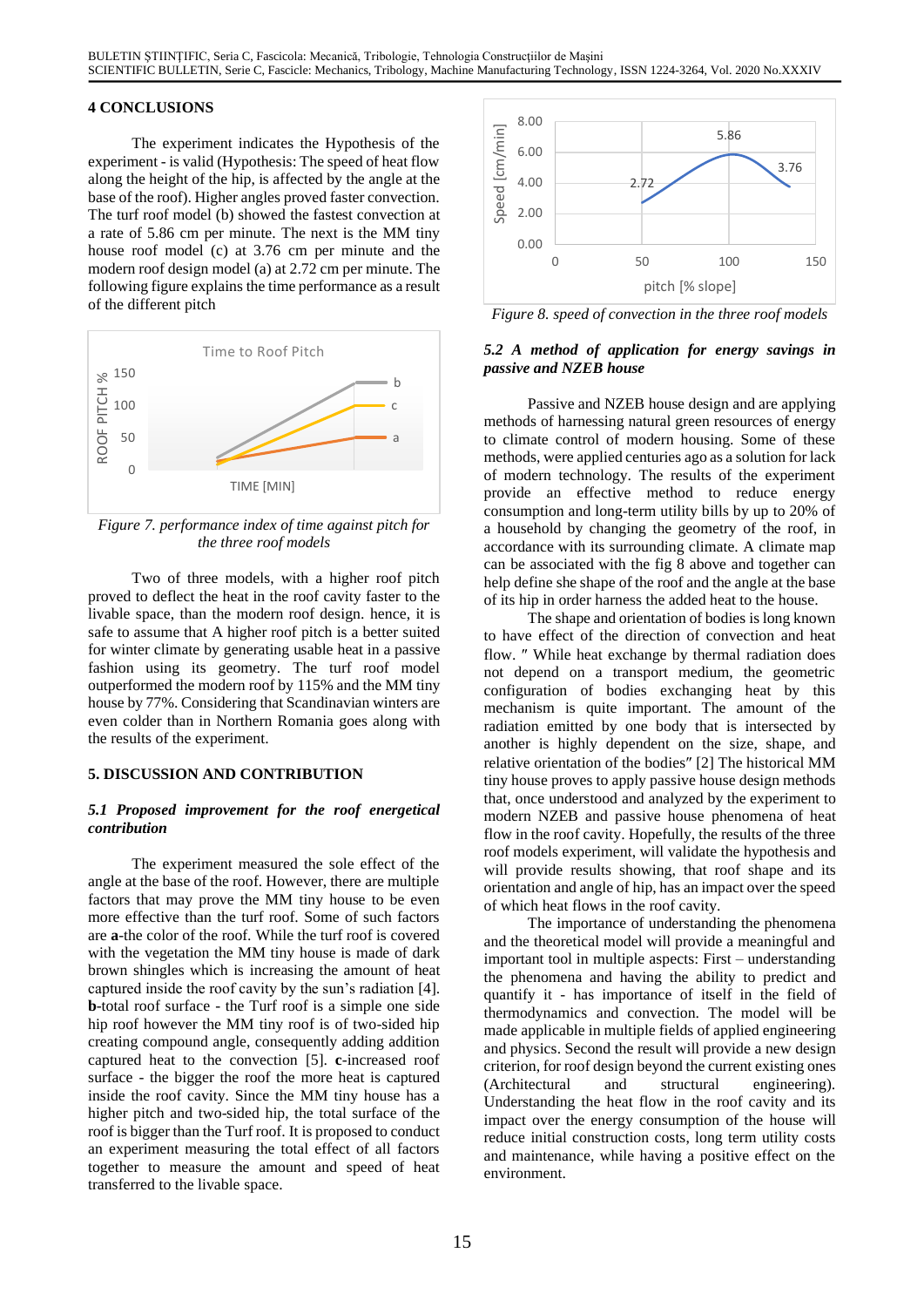# **4 CONCLUSIONS**

The experiment indicates the Hypothesis of the experiment - is valid (Hypothesis: The speed of heat flow along the height of the hip, is affected by the angle at the base of the roof). Higher angles proved faster convection. The turf roof model (b) showed the fastest convection at a rate of 5.86 cm per minute. The next is the MM tiny house roof model (c) at 3.76 cm per minute and the modern roof design model (a) at 2.72 cm per minute. The following figure explains the time performance as a result of the different pitch



*Figure 7. performance index of time against pitch for the three roof models*

Two of three models, with a higher roof pitch proved to deflect the heat in the roof cavity faster to the livable space, than the modern roof design. hence, it is safe to assume that A higher roof pitch is a better suited for winter climate by generating usable heat in a passive fashion using its geometry. The turf roof model outperformed the modern roof by 115% and the MM tiny house by 77%. Considering that Scandinavian winters are even colder than in Northern Romania goes along with the results of the experiment.

### **5. DISCUSSION AND CONTRIBUTION**

### *5.1 Proposed improvement for the roof energetical contribution*

The experiment measured the sole effect of the angle at the base of the roof. However, there are multiple factors that may prove the MM tiny house to be even more effective than the turf roof. Some of such factors are **a**-the color of the roof. While the turf roof is covered with the vegetation the MM tiny house is made of dark brown shingles which is increasing the amount of heat captured inside the roof cavity by the sun's radiation [4]. **b**-total roof surface - the Turf roof is a simple one side hip roof however the MM tiny roof is of two-sided hip creating compound angle, consequently adding addition captured heat to the convection [5]. **c**-increased roof surface - the bigger the roof the more heat is captured inside the roof cavity. Since the MM tiny house has a higher pitch and two-sided hip, the total surface of the roof is bigger than the Turf roof. It is proposed to conduct an experiment measuring the total effect of all factors together to measure the amount and speed of heat transferred to the livable space.



*Figure 8. speed of convection in the three roof models*

## *5.2 A method of application for energy savings in passive and NZEB house*

Passive and NZEB house design and are applying methods of harnessing natural green resources of energy to climate control of modern housing. Some of these methods, were applied centuries ago as a solution for lack of modern technology. The results of the experiment provide an effective method to reduce energy consumption and long-term utility bills by up to 20% of a household by changing the geometry of the roof, in accordance with its surrounding climate. A climate map can be associated with the fig 8 above and together can help define she shape of the roof and the angle at the base of its hip in order harness the added heat to the house.

The shape and orientation of bodies is long known to have effect of the direction of convection and heat flow. " While heat exchange by thermal radiation does not depend on a transport medium, the geometric configuration of bodies exchanging heat by this mechanism is quite important. The amount of the radiation emitted by one body that is intersected by another is highly dependent on the size, shape, and relative orientation of the bodies" [2] The historical MM tiny house proves to apply passive house design methods that, once understood and analyzed by the experiment to modern NZEB and passive house phenomena of heat flow in the roof cavity. Hopefully, the results of the three roof models experiment, will validate the hypothesis and will provide results showing, that roof shape and its orientation and angle of hip, has an impact over the speed of which heat flows in the roof cavity.

The importance of understanding the phenomena and the theoretical model will provide a meaningful and important tool in multiple aspects: First – understanding the phenomena and having the ability to predict and quantify it - has importance of itself in the field of thermodynamics and convection. The model will be made applicable in multiple fields of applied engineering and physics. Second the result will provide a new design criterion, for roof design beyond the current existing ones (Architectural and structural engineering). Understanding the heat flow in the roof cavity and its impact over the energy consumption of the house will reduce initial construction costs, long term utility costs and maintenance, while having a positive effect on the environment.